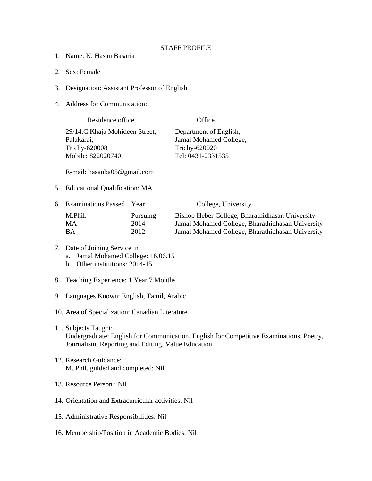## STAFF PROFILE

- 1. Name: K. Hasan Basaria
- 2. Sex: Female
- 3. Designation: Assistant Professor of English
- 4. Address for Communication:

Residence office **Office** Office 29/14.C Khaja Mohideen Street, Department of English, Palakarai, Jamal Mohamed College, Trichy-620008 Trichy-620020 Mobile: 8220207401 Tel: 0431-2331535

E-mail: hasanba05@gmail.com

5. Educational Qualification: MA.

| 6. Examinations Passed Year |          | College, University                              |
|-----------------------------|----------|--------------------------------------------------|
| M.Phil.                     | Pursuing | Bishop Heber College, Bharathidhasan University  |
| MА                          | 2014     | Jamal Mohamed College, Bharathidhasan University |
| RА                          | 2012     | Jamal Mohamed College, Bharathidhasan University |

- 7. Date of Joining Service in a. Jamal Mohamed College: 16.06.15 b. Other institutions: 2014-15
- 8. Teaching Experience: 1 Year 7 Months
- 9. Languages Known: English, Tamil, Arabic
- 10. Area of Specialization: Canadian Literature
- 11. Subjects Taught: Undergraduate: English for Communication, English for Competitive Examinations, Poetry, Journalism, Reporting and Editing, Value Education.
- 12. Research Guidance: M. Phil. guided and completed: Nil
- 13. Resource Person : Nil
- 14. Orientation and Extracurricular activities: Nil
- 15. Administrative Responsibilities: Nil
- 16. Membership/Position in Academic Bodies: Nil